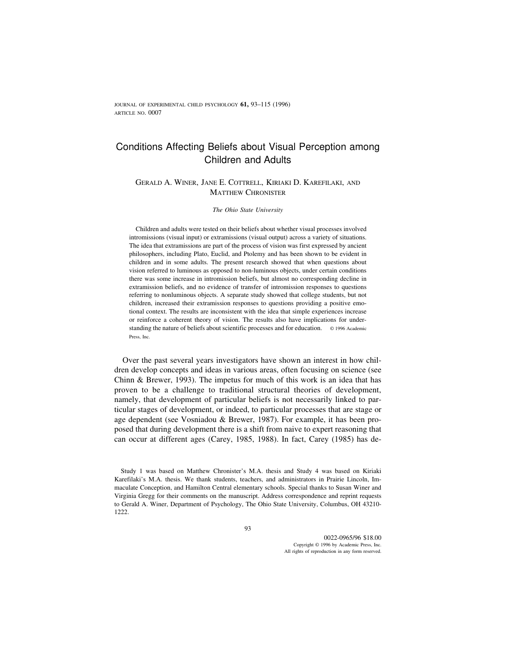# Conditions Affecting Beliefs about Visual Perception among Children and Adults

## GERALD A. WINER, JANE E. COTTRELL, KIRIAKI D. KAREFILAKI, AND MATTHEW CHRONISTER

*The Ohio State University*

Children and adults were tested on their beliefs about whether visual processes involved intromissions (visual input) or extramissions (visual output) across a variety of situations. The idea that extramissions are part of the process of vision was first expressed by ancient philosophers, including Plato, Euclid, and Ptolemy and has been shown to be evident in children and in some adults. The present research showed that when questions about vision referred to luminous as opposed to non-luminous objects, under certain conditions there was some increase in intromission beliefs, but almost no corresponding decline in extramission beliefs, and no evidence of transfer of intromission responses to questions referring to nonluminous objects. A separate study showed that college students, but not children, increased their extramission responses to questions providing a positive emotional context. The results are inconsistent with the idea that simple experiences increase or reinforce a coherent theory of vision. The results also have implications for understanding the nature of beliefs about scientific processes and for education. © 1996 Academic Press, Inc.

Over the past several years investigators have shown an interest in how children develop concepts and ideas in various areas, often focusing on science (see Chinn & Brewer, 1993). The impetus for much of this work is an idea that has proven to be a challenge to traditional structural theories of development, namely, that development of particular beliefs is not necessarily linked to particular stages of development, or indeed, to particular processes that are stage or age dependent (see Vosniadou & Brewer, 1987). For example, it has been proposed that during development there is a shift from naive to expert reasoning that can occur at different ages (Carey, 1985, 1988). In fact, Carey (1985) has de-

Study 1 was based on Matthew Chronister's M.A. thesis and Study 4 was based on Kiriaki Karefilaki's M.A. thesis. We thank students, teachers, and administrators in Prairie Lincoln, Immaculate Conception, and Hamilton Central elementary schools. Special thanks to Susan Winer and Virginia Gregg for their comments on the manuscript. Address correspondence and reprint requests to Gerald A. Winer, Department of Psychology, The Ohio State University, Columbus, OH 43210- 1222.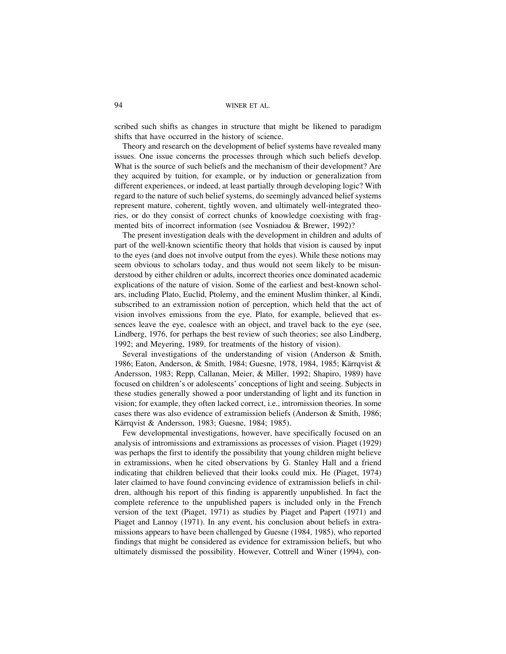scribed such shifts as changes in structure that might be likened to paradigm shifts that have occurred in the history of science.

Theory and research on the development of belief systems have revealed many issues. One issue concerns the processes through which such beliefs develop. What is the source of such beliefs and the mechanism of their development? Are they acquired by tuition, for example, or by induction or generalization from different experiences, or indeed, at least partially through developing logic? With regard to the nature of such belief systems, do seemingly advanced belief systems represent mature, coherent, tightly woven, and ultimately well-integrated theories, or do they consist of correct chunks of knowledge coexisting with fragmented bits of incorrect information (see Vosniadou & Brewer, 1992)?

The present investigation deals with the development in children and adults of part of the well-known scientific theory that holds that vision is caused by input to the eyes (and does not involve output from the eyes). While these notions may seem obvious to scholars today, and thus would not seem likely to be misunderstood by either children or adults, incorrect theories once dominated academic explications of the nature of vision. Some of the earliest and best-known scholars, including Plato, Euclid, Ptolemy, and the eminent Muslim thinker, al Kindi, subscribed to an extramission notion of perception, which held that the act of vision involves emissions from the eye. Plato, for example, believed that essences leave the eye, coalesce with an object, and travel back to the eye (see, Lindberg, 1976, for perhaps the best review of such theories; see also Lindberg, 1992; and Meyering, 1989, for treatments of the history of vision).

Several investigations of the understanding of vision (Anderson & Smith, 1986; Eaton, Anderson, & Smith, 1984; Guesne, 1978, 1984, 1985; Kärrqvist & Andersson, 1983; Repp, Callanan, Meier, & Miller, 1992; Shapiro, 1989) have focused on children's or adolescents' conceptions of light and seeing. Subjects in these studies generally showed a poor understanding of light and its function in vision; for example, they often lacked correct, i.e., intromission theories. In some cases there was also evidence of extramission beliefs (Anderson & Smith, 1986; Kärrqvist & Andersson, 1983; Guesne, 1984; 1985).

Few developmental investigations, however, have specifically focused on an analysis of intromissions and extramissions as processes of vision. Piaget (1929) was perhaps the first to identify the possibility that young children might believe in extramissions, when he cited observations by G. Stanley Hall and a friend indicating that children believed that their looks could mix. He (Piaget, 1974) later claimed to have found convincing evidence of extramission beliefs in children, although his report of this finding is apparently unpublished. In fact the complete reference to the unpublished papers is included only in the French version of the text (Piaget, 1971) as studies by Piaget and Papert (1971) and Piaget and Lannoy (1971). In any event, his conclusion about beliefs in extramissions appears to have been challenged by Guesne (1984, 1985), who reported findings that might be considered as evidence for extramission beliefs, but who ultimately dismissed the possibility. However, Cottrell and Winer (1994), con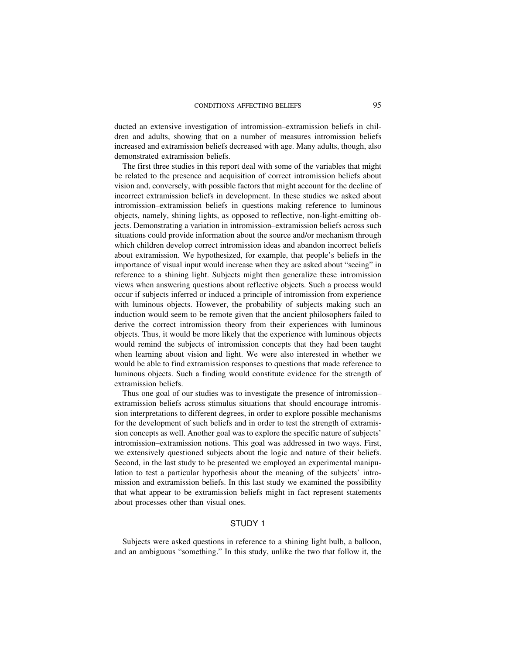ducted an extensive investigation of intromission–extramission beliefs in children and adults, showing that on a number of measures intromission beliefs increased and extramission beliefs decreased with age. Many adults, though, also demonstrated extramission beliefs.

The first three studies in this report deal with some of the variables that might be related to the presence and acquisition of correct intromission beliefs about vision and, conversely, with possible factors that might account for the decline of incorrect extramission beliefs in development. In these studies we asked about intromission–extramission beliefs in questions making reference to luminous objects, namely, shining lights, as opposed to reflective, non-light-emitting objects. Demonstrating a variation in intromission–extramission beliefs across such situations could provide information about the source and/or mechanism through which children develop correct intromission ideas and abandon incorrect beliefs about extramission. We hypothesized, for example, that people's beliefs in the importance of visual input would increase when they are asked about "seeing" in reference to a shining light. Subjects might then generalize these intromission views when answering questions about reflective objects. Such a process would occur if subjects inferred or induced a principle of intromission from experience with luminous objects. However, the probability of subjects making such an induction would seem to be remote given that the ancient philosophers failed to derive the correct intromission theory from their experiences with luminous objects. Thus, it would be more likely that the experience with luminous objects would remind the subjects of intromission concepts that they had been taught when learning about vision and light. We were also interested in whether we would be able to find extramission responses to questions that made reference to luminous objects. Such a finding would constitute evidence for the strength of extramission beliefs.

Thus one goal of our studies was to investigate the presence of intromission– extramission beliefs across stimulus situations that should encourage intromission interpretations to different degrees, in order to explore possible mechanisms for the development of such beliefs and in order to test the strength of extramission concepts as well. Another goal was to explore the specific nature of subjects' intromission–extramission notions. This goal was addressed in two ways. First, we extensively questioned subjects about the logic and nature of their beliefs. Second, in the last study to be presented we employed an experimental manipulation to test a particular hypothesis about the meaning of the subjects' intromission and extramission beliefs. In this last study we examined the possibility that what appear to be extramission beliefs might in fact represent statements about processes other than visual ones.

## STUDY 1

Subjects were asked questions in reference to a shining light bulb, a balloon, and an ambiguous "something." In this study, unlike the two that follow it, the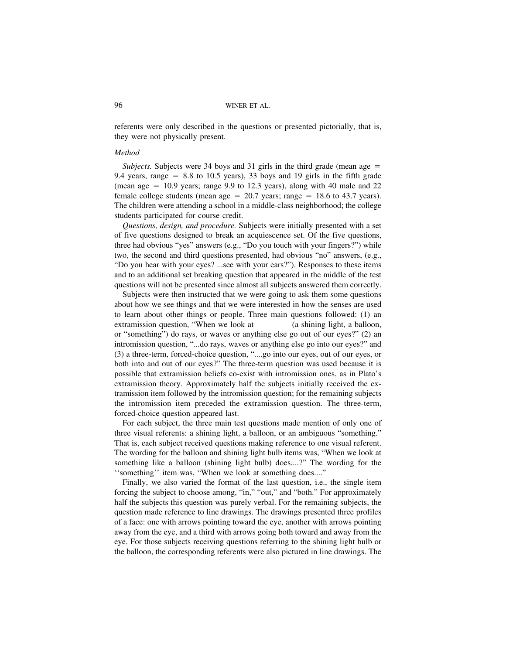referents were only described in the questions or presented pictorially, that is, they were not physically present.

## *Method*

*Subjects.* Subjects were 34 boys and 31 girls in the third grade (mean age  $=$ 9.4 years, range =  $8.8$  to 10.5 years), 33 boys and 19 girls in the fifth grade (mean age  $= 10.9$  years; range 9.9 to 12.3 years), along with 40 male and 22 female college students (mean age  $= 20.7$  years; range  $= 18.6$  to 43.7 years). The children were attending a school in a middle-class neighborhood; the college students participated for course credit.

*Questions, design, and procedure.* Subjects were initially presented with a set of five questions designed to break an acquiescence set. Of the five questions, three had obvious "yes" answers (e.g., "Do you touch with your fingers?") while two, the second and third questions presented, had obvious "no" answers, (e.g., "Do you hear with your eyes? ...see with your ears?"). Responses to these items and to an additional set breaking question that appeared in the middle of the test questions will not be presented since almost all subjects answered them correctly.

Subjects were then instructed that we were going to ask them some questions about how we see things and that we were interested in how the senses are used to learn about other things or people. Three main questions followed: (1) an extramission question, "When we look at \_\_\_\_\_\_\_\_\_\_ (a shining light, a balloon, or "something") do rays, or waves or anything else go out of our eyes?" (2) an intromission question, "...do rays, waves or anything else go into our eyes?" and (3) a three-term, forced-choice question, "....go into our eyes, out of our eyes, or both into and out of our eyes?" The three-term question was used because it is possible that extramission beliefs co-exist with intromission ones, as in Plato's extramission theory. Approximately half the subjects initially received the extramission item followed by the intromission question; for the remaining subjects the intromission item preceded the extramission question. The three-term, forced-choice question appeared last.

For each subject, the three main test questions made mention of only one of three visual referents: a shining light, a balloon, or an ambiguous "something." That is, each subject received questions making reference to one visual referent. The wording for the balloon and shining light bulb items was, "When we look at something like a balloon (shining light bulb) does....?" The wording for the ''something'' item was, "When we look at something does...."

Finally, we also varied the format of the last question, i.e., the single item forcing the subject to choose among, "in," "out," and "both." For approximately half the subjects this question was purely verbal. For the remaining subjects, the question made reference to line drawings. The drawings presented three profiles of a face: one with arrows pointing toward the eye, another with arrows pointing away from the eye, and a third with arrows going both toward and away from the eye. For those subjects receiving questions referring to the shining light bulb or the balloon, the corresponding referents were also pictured in line drawings. The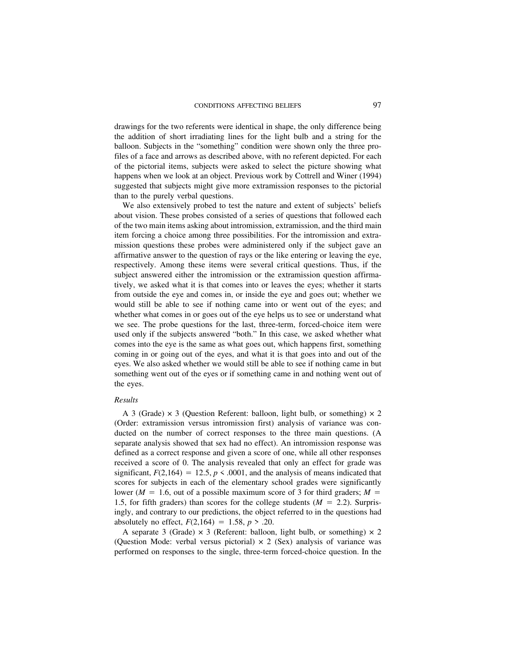drawings for the two referents were identical in shape, the only difference being the addition of short irradiating lines for the light bulb and a string for the balloon. Subjects in the "something" condition were shown only the three profiles of a face and arrows as described above, with no referent depicted. For each of the pictorial items, subjects were asked to select the picture showing what happens when we look at an object. Previous work by Cottrell and Winer (1994) suggested that subjects might give more extramission responses to the pictorial than to the purely verbal questions.

We also extensively probed to test the nature and extent of subjects' beliefs about vision. These probes consisted of a series of questions that followed each of the two main items asking about intromission, extramission, and the third main item forcing a choice among three possibilities. For the intromission and extramission questions these probes were administered only if the subject gave an affirmative answer to the question of rays or the like entering or leaving the eye, respectively. Among these items were several critical questions. Thus, if the subject answered either the intromission or the extramission question affirmatively, we asked what it is that comes into or leaves the eyes; whether it starts from outside the eye and comes in, or inside the eye and goes out; whether we would still be able to see if nothing came into or went out of the eyes; and whether what comes in or goes out of the eye helps us to see or understand what we see. The probe questions for the last, three-term, forced-choice item were used only if the subjects answered "both." In this case, we asked whether what comes into the eye is the same as what goes out, which happens first, something coming in or going out of the eyes, and what it is that goes into and out of the eyes. We also asked whether we would still be able to see if nothing came in but something went out of the eyes or if something came in and nothing went out of the eyes.

#### *Results*

A 3 (Grade)  $\times$  3 (Question Referent: balloon, light bulb, or something)  $\times$  2 (Order: extramission versus intromission first) analysis of variance was conducted on the number of correct responses to the three main questions. (A separate analysis showed that sex had no effect). An intromission response was defined as a correct response and given a score of one, while all other responses received a score of 0. The analysis revealed that only an effect for grade was significant,  $F(2,164) = 12.5$ ,  $p \le 0.0001$ , and the analysis of means indicated that scores for subjects in each of the elementary school grades were significantly lower ( $M = 1.6$ , out of a possible maximum score of 3 for third graders;  $M =$ 1.5, for fifth graders) than scores for the college students  $(M = 2.2)$ . Surprisingly, and contrary to our predictions, the object referred to in the questions had absolutely no effect,  $F(2,164) = 1.58$ ,  $p > .20$ .

A separate 3 (Grade)  $\times$  3 (Referent: balloon, light bulb, or something)  $\times$  2 (Question Mode: verbal versus pictorial)  $\times$  2 (Sex) analysis of variance was performed on responses to the single, three-term forced-choice question. In the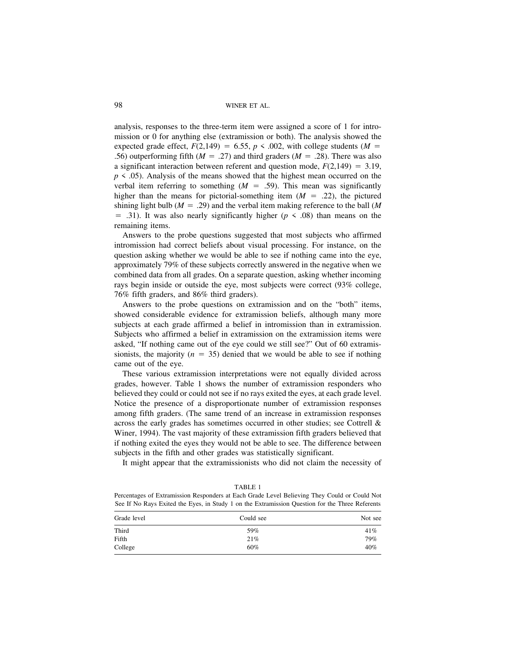analysis, responses to the three-term item were assigned a score of 1 for intromission or 0 for anything else (extramission or both). The analysis showed the expected grade effect,  $F(2,149) = 6.55$ ,  $p \lt 0.002$ , with college students (*M* = .56) outperforming fifth ( $M = .27$ ) and third graders ( $M = .28$ ). There was also a significant interaction between referent and question mode,  $F(2,149) = 3.19$ ,  $p \leq 0.05$ ). Analysis of the means showed that the highest mean occurred on the verbal item referring to something  $(M = .59)$ . This mean was significantly higher than the means for pictorial-something item  $(M = .22)$ , the pictured shining light bulb ( $M = .29$ ) and the verbal item making reference to the ball (M)  $=$  .31). It was also nearly significantly higher ( $p \le 0.08$ ) than means on the remaining items.

Answers to the probe questions suggested that most subjects who affirmed intromission had correct beliefs about visual processing. For instance, on the question asking whether we would be able to see if nothing came into the eye, approximately 79% of these subjects correctly answered in the negative when we combined data from all grades. On a separate question, asking whether incoming rays begin inside or outside the eye, most subjects were correct (93% college, 76% fifth graders, and 86% third graders).

Answers to the probe questions on extramission and on the "both" items, showed considerable evidence for extramission beliefs, although many more subjects at each grade affirmed a belief in intromission than in extramission. Subjects who affirmed a belief in extramission on the extramission items were asked, "If nothing came out of the eye could we still see?" Out of 60 extramissionists, the majority ( $n = 35$ ) denied that we would be able to see if nothing came out of the eye.

These various extramission interpretations were not equally divided across grades, however. Table 1 shows the number of extramission responders who believed they could or could not see if no rays exited the eyes, at each grade level. Notice the presence of a disproportionate number of extramission responses among fifth graders. (The same trend of an increase in extramission responses across the early grades has sometimes occurred in other studies; see Cottrell & Winer, 1994). The vast majority of these extramission fifth graders believed that if nothing exited the eyes they would not be able to see. The difference between subjects in the fifth and other grades was statistically significant.

It might appear that the extramissionists who did not claim the necessity of

| TABLE 1                                                                                         |
|-------------------------------------------------------------------------------------------------|
| Percentages of Extramission Responders at Each Grade Level Believing They Could or Could Not    |
| See If No Rays Exited the Eyes, in Study 1 on the Extramission Question for the Three Referents |

| Grade level | Could see | Not see |  |  |
|-------------|-----------|---------|--|--|
| Third       | 59%       | 41%     |  |  |
| Fifth       | 21%       | 79%     |  |  |
| College     | 60%       | 40%     |  |  |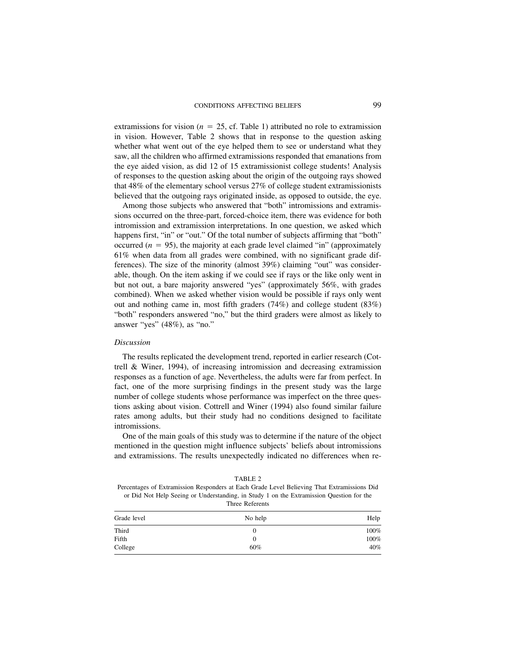extramissions for vision ( $n = 25$ , cf. Table 1) attributed no role to extramission in vision. However, Table 2 shows that in response to the question asking whether what went out of the eye helped them to see or understand what they saw, all the children who affirmed extramissions responded that emanations from the eye aided vision, as did 12 of 15 extramissionist college students! Analysis of responses to the question asking about the origin of the outgoing rays showed that 48% of the elementary school versus 27% of college student extramissionists believed that the outgoing rays originated inside, as opposed to outside, the eye.

Among those subjects who answered that "both" intromissions and extramissions occurred on the three-part, forced-choice item, there was evidence for both intromission and extramission interpretations. In one question, we asked which happens first, "in" or "out." Of the total number of subjects affirming that "both" occurred  $(n = 95)$ , the majority at each grade level claimed "in" (approximately 61% when data from all grades were combined, with no significant grade differences). The size of the minority (almost 39%) claiming "out" was considerable, though. On the item asking if we could see if rays or the like only went in but not out, a bare majority answered "yes" (approximately 56%, with grades combined). When we asked whether vision would be possible if rays only went out and nothing came in, most fifth graders (74%) and college student (83%) "both" responders answered "no," but the third graders were almost as likely to answer "yes" (48%), as "no."

#### *Discussion*

The results replicated the development trend, reported in earlier research (Cottrell & Winer, 1994), of increasing intromission and decreasing extramission responses as a function of age. Nevertheless, the adults were far from perfect. In fact, one of the more surprising findings in the present study was the large number of college students whose performance was imperfect on the three questions asking about vision. Cottrell and Winer (1994) also found similar failure rates among adults, but their study had no conditions designed to facilitate intromissions.

One of the main goals of this study was to determine if the nature of the object mentioned in the question might influence subjects' beliefs about intromissions and extramissions. The results unexpectedly indicated no differences when re-

TABLE 2

Percentages of Extramission Responders at Each Grade Level Believing That Extramissions Did or Did Not Help Seeing or Understanding, in Study 1 on the Extramission Question for the Three Referents

| Grade level | No help | Help |  |
|-------------|---------|------|--|
| Third       |         | 100% |  |
| Fifth       |         | 100% |  |
| College     | 60%     | 40%  |  |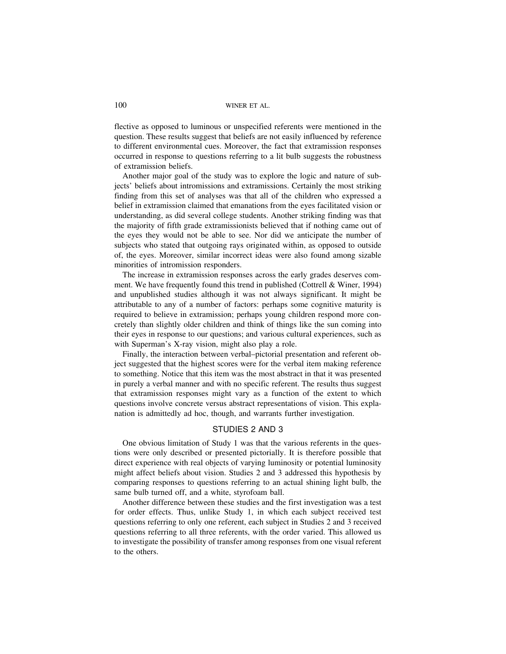flective as opposed to luminous or unspecified referents were mentioned in the question. These results suggest that beliefs are not easily influenced by reference to different environmental cues. Moreover, the fact that extramission responses occurred in response to questions referring to a lit bulb suggests the robustness of extramission beliefs.

Another major goal of the study was to explore the logic and nature of subjects' beliefs about intromissions and extramissions. Certainly the most striking finding from this set of analyses was that all of the children who expressed a belief in extramission claimed that emanations from the eyes facilitated vision or understanding, as did several college students. Another striking finding was that the majority of fifth grade extramissionists believed that if nothing came out of the eyes they would not be able to see. Nor did we anticipate the number of subjects who stated that outgoing rays originated within, as opposed to outside of, the eyes. Moreover, similar incorrect ideas were also found among sizable minorities of intromission responders.

The increase in extramission responses across the early grades deserves comment. We have frequently found this trend in published (Cottrell & Winer, 1994) and unpublished studies although it was not always significant. It might be attributable to any of a number of factors: perhaps some cognitive maturity is required to believe in extramission; perhaps young children respond more concretely than slightly older children and think of things like the sun coming into their eyes in response to our questions; and various cultural experiences, such as with Superman's X-ray vision, might also play a role.

Finally, the interaction between verbal–pictorial presentation and referent object suggested that the highest scores were for the verbal item making reference to something. Notice that this item was the most abstract in that it was presented in purely a verbal manner and with no specific referent. The results thus suggest that extramission responses might vary as a function of the extent to which questions involve concrete versus abstract representations of vision. This explanation is admittedly ad hoc, though, and warrants further investigation.

# STUDIES 2 AND 3

One obvious limitation of Study 1 was that the various referents in the questions were only described or presented pictorially. It is therefore possible that direct experience with real objects of varying luminosity or potential luminosity might affect beliefs about vision. Studies 2 and 3 addressed this hypothesis by comparing responses to questions referring to an actual shining light bulb, the same bulb turned off, and a white, styrofoam ball.

Another difference between these studies and the first investigation was a test for order effects. Thus, unlike Study 1, in which each subject received test questions referring to only one referent, each subject in Studies 2 and 3 received questions referring to all three referents, with the order varied. This allowed us to investigate the possibility of transfer among responses from one visual referent to the others.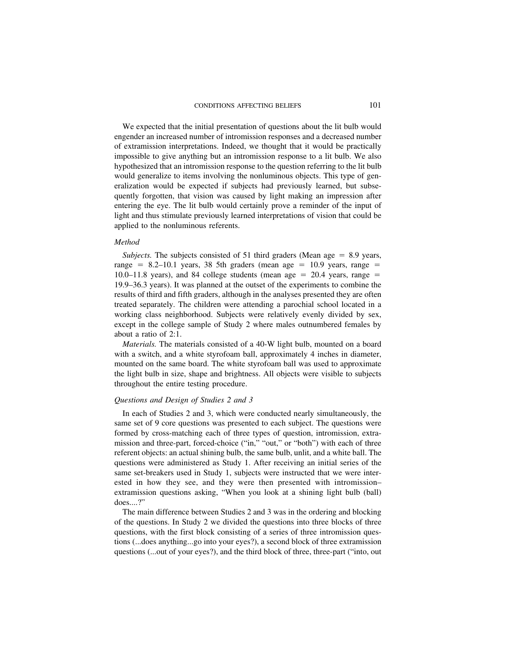We expected that the initial presentation of questions about the lit bulb would engender an increased number of intromission responses and a decreased number of extramission interpretations. Indeed, we thought that it would be practically impossible to give anything but an intromission response to a lit bulb. We also hypothesized that an intromission response to the question referring to the lit bulb would generalize to items involving the nonluminous objects. This type of generalization would be expected if subjects had previously learned, but subsequently forgotten, that vision was caused by light making an impression after entering the eye. The lit bulb would certainly prove a reminder of the input of light and thus stimulate previously learned interpretations of vision that could be applied to the nonluminous referents.

#### *Method*

*Subjects.* The subjects consisted of 51 third graders (Mean age  $= 8.9$  years, range =  $8.2-10.1$  years, 38 5th graders (mean age = 10.9 years, range = 10.0–11.8 years), and 84 college students (mean age  $= 20.4$  years, range  $=$ 19.9–36.3 years). It was planned at the outset of the experiments to combine the results of third and fifth graders, although in the analyses presented they are often treated separately. The children were attending a parochial school located in a working class neighborhood. Subjects were relatively evenly divided by sex, except in the college sample of Study 2 where males outnumbered females by about a ratio of 2:1.

*Materials.* The materials consisted of a 40-W light bulb, mounted on a board with a switch, and a white styrofoam ball, approximately 4 inches in diameter, mounted on the same board. The white styrofoam ball was used to approximate the light bulb in size, shape and brightness. All objects were visible to subjects throughout the entire testing procedure.

## *Questions and Design of Studies 2 and 3*

In each of Studies 2 and 3, which were conducted nearly simultaneously, the same set of 9 core questions was presented to each subject. The questions were formed by cross-matching each of three types of question, intromission, extramission and three-part, forced-choice ("in," "out," or "both") with each of three referent objects: an actual shining bulb, the same bulb, unlit, and a white ball. The questions were administered as Study 1. After receiving an initial series of the same set-breakers used in Study 1, subjects were instructed that we were interested in how they see, and they were then presented with intromission– extramission questions asking, "When you look at a shining light bulb (ball)  $d$ oes...?"

The main difference between Studies 2 and 3 was in the ordering and blocking of the questions. In Study 2 we divided the questions into three blocks of three questions, with the first block consisting of a series of three intromission questions (...does anything...go into your eyes?), a second block of three extramission questions (...out of your eyes?), and the third block of three, three-part ("into, out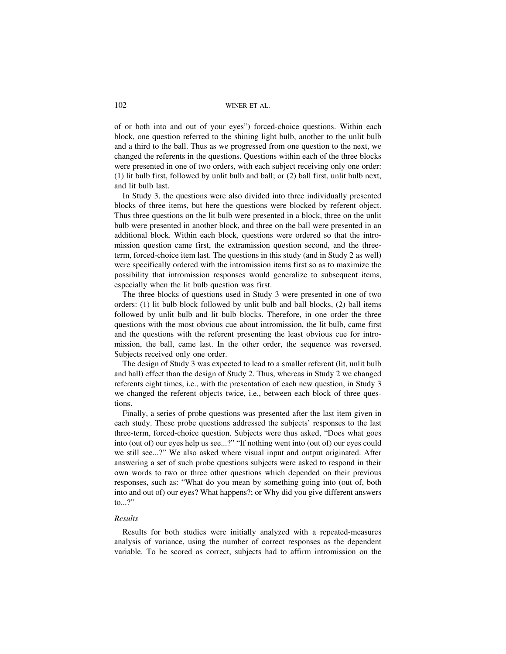of or both into and out of your eyes") forced-choice questions. Within each block, one question referred to the shining light bulb, another to the unlit bulb and a third to the ball. Thus as we progressed from one question to the next, we changed the referents in the questions. Questions within each of the three blocks were presented in one of two orders, with each subject receiving only one order: (1) lit bulb first, followed by unlit bulb and ball; or  $(2)$  ball first, unlit bulb next, and lit bulb last.

In Study 3, the questions were also divided into three individually presented blocks of three items, but here the questions were blocked by referent object. Thus three questions on the lit bulb were presented in a block, three on the unlit bulb were presented in another block, and three on the ball were presented in an additional block. Within each block, questions were ordered so that the intromission question came first, the extramission question second, and the threeterm, forced-choice item last. The questions in this study (and in Study 2 as well) were specifically ordered with the intromission items first so as to maximize the possibility that intromission responses would generalize to subsequent items, especially when the lit bulb question was first.

The three blocks of questions used in Study 3 were presented in one of two orders: (1) lit bulb block followed by unlit bulb and ball blocks, (2) ball items followed by unlit bulb and lit bulb blocks. Therefore, in one order the three questions with the most obvious cue about intromission, the lit bulb, came first and the questions with the referent presenting the least obvious cue for intromission, the ball, came last. In the other order, the sequence was reversed. Subjects received only one order.

The design of Study 3 was expected to lead to a smaller referent (lit, unlit bulb and ball) effect than the design of Study 2. Thus, whereas in Study 2 we changed referents eight times, i.e., with the presentation of each new question, in Study 3 we changed the referent objects twice, i.e., between each block of three questions.

Finally, a series of probe questions was presented after the last item given in each study. These probe questions addressed the subjects' responses to the last three-term, forced-choice question. Subjects were thus asked, "Does what goes into (out of) our eyes help us see...?" "If nothing went into (out of) our eyes could we still see...?" We also asked where visual input and output originated. After answering a set of such probe questions subjects were asked to respond in their own words to two or three other questions which depended on their previous responses, such as: "What do you mean by something going into (out of, both into and out of) our eyes? What happens?; or Why did you give different answers to.  $\mathcal{P}$ 

### *Results*

Results for both studies were initially analyzed with a repeated-measures analysis of variance, using the number of correct responses as the dependent variable. To be scored as correct, subjects had to affirm intromission on the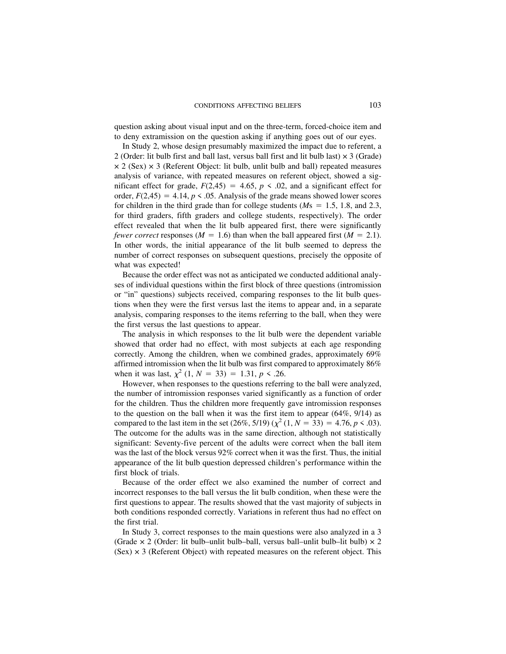question asking about visual input and on the three-term, forced-choice item and to deny extramission on the question asking if anything goes out of our eyes.

In Study 2, whose design presumably maximized the impact due to referent, a 2 (Order: lit bulb first and ball last, versus ball first and lit bulb last)  $\times$  3 (Grade)  $\times$  2 (Sex)  $\times$  3 (Referent Object: lit bulb, unlit bulb and ball) repeated measures analysis of variance, with repeated measures on referent object, showed a significant effect for grade,  $F(2,45) = 4.65$ ,  $p \le 0.02$ , and a significant effect for order,  $F(2,45) = 4.14$ ,  $p \le 0.05$ . Analysis of the grade means showed lower scores for children in the third grade than for college students ( $Ms = 1.5, 1.8$ , and 2.3, for third graders, fifth graders and college students, respectively). The order effect revealed that when the lit bulb appeared first, there were significantly *fewer correct* responses ( $M = 1.6$ ) than when the ball appeared first ( $M = 2.1$ ). In other words, the initial appearance of the lit bulb seemed to depress the number of correct responses on subsequent questions, precisely the opposite of what was expected!

Because the order effect was not as anticipated we conducted additional analyses of individual questions within the first block of three questions (intromission or "in" questions) subjects received, comparing responses to the lit bulb questions when they were the first versus last the items to appear and, in a separate analysis, comparing responses to the items referring to the ball, when they were the first versus the last questions to appear.

The analysis in which responses to the lit bulb were the dependent variable showed that order had no effect, with most subjects at each age responding correctly. Among the children, when we combined grades, approximately 69% affirmed intromission when the lit bulb was first compared to approximately 86% when it was last,  $\chi^2$  (1, *N* = 33) = 1.31, *p* < .26.

However, when responses to the questions referring to the ball were analyzed, the number of intromission responses varied significantly as a function of order for the children. Thus the children more frequently gave intromission responses to the question on the ball when it was the first item to appear  $(64\%, 9/14)$  as compared to the last item in the set  $(26\%, 5/19)$   $(\chi^2(1, N = 33) = 4.76, p < .03)$ . The outcome for the adults was in the same direction, although not statistically significant: Seventy-five percent of the adults were correct when the ball item was the last of the block versus 92% correct when it was the first. Thus, the initial appearance of the lit bulb question depressed children's performance within the first block of trials.

Because of the order effect we also examined the number of correct and incorrect responses to the ball versus the lit bulb condition, when these were the first questions to appear. The results showed that the vast majority of subjects in both conditions responded correctly. Variations in referent thus had no effect on the first trial.

In Study 3, correct responses to the main questions were also analyzed in a 3 (Grade  $\times$  2 (Order: lit bulb–unlit bulb–ball, versus ball–unlit bulb–lit bulb)  $\times$  2  $(Sex) \times 3$  (Referent Object) with repeated measures on the referent object. This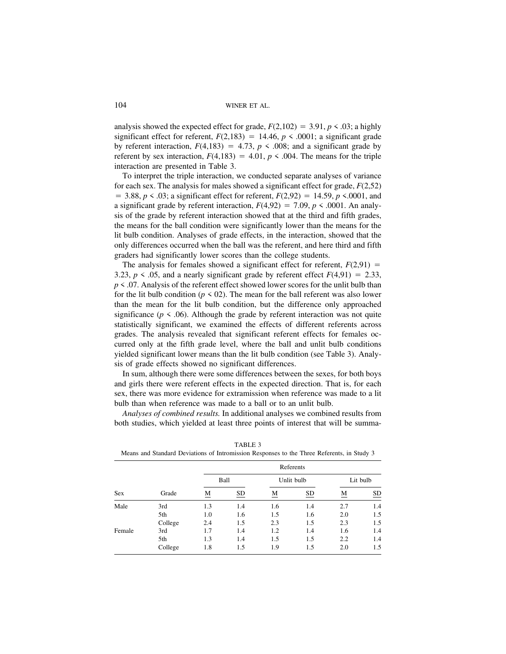analysis showed the expected effect for grade,  $F(2,102) = 3.91, p \le 0.03$ ; a highly significant effect for referent,  $F(2,183) = 14.46$ ,  $p \le 0.0001$ ; a significant grade by referent interaction,  $F(4,183) = 4.73$ ,  $p \lt 0.008$ ; and a significant grade by referent by sex interaction,  $F(4,183) = 4.01$ ,  $p \le 0.004$ . The means for the triple interaction are presented in Table 3.

To interpret the triple interaction, we conducted separate analyses of variance for each sex. The analysis for males showed a significant effect for grade, *F*(2,52)  $= 3.88, p \le 0.03$ ; a significant effect for referent,  $F(2.92) = 14.59, p \le 0.0001$ , and a significant grade by referent interaction,  $F(4,92) = 7.09$ ,  $p \le 0.0001$ . An analysis of the grade by referent interaction showed that at the third and fifth grades, the means for the ball condition were significantly lower than the means for the lit bulb condition. Analyses of grade effects, in the interaction, showed that the only differences occurred when the ball was the referent, and here third and fifth graders had significantly lower scores than the college students.

The analysis for females showed a significant effect for referent,  $F(2,91) =$ 3.23,  $p \le 0.05$ , and a nearly significant grade by referent effect  $F(4,91) = 2.33$ , *p* < .07. Analysis of the referent effect showed lower scores for the unlit bulb than for the lit bulb condition ( $p \le 0$ 2). The mean for the ball referent was also lower than the mean for the lit bulb condition, but the difference only approached significance ( $p \le 0.06$ ). Although the grade by referent interaction was not quite statistically significant, we examined the effects of different referents across grades. The analysis revealed that significant referent effects for females occurred only at the fifth grade level, where the ball and unlit bulb conditions yielded significant lower means than the lit bulb condition (see Table 3). Analysis of grade effects showed no significant differences.

In sum, although there were some differences between the sexes, for both boys and girls there were referent effects in the expected direction. That is, for each sex, there was more evidence for extramission when reference was made to a lit bulb than when reference was made to a ball or to an unlit bulb.

*Analyses of combined results.* In additional analyses we combined results from both studies, which yielded at least three points of interest that will be summa-

| Sex    | Grade   | Referents |           |     |            |          |     |  |  |  |
|--------|---------|-----------|-----------|-----|------------|----------|-----|--|--|--|
|        |         |           | Ball      |     | Unlit bulb | Lit bulb |     |  |  |  |
|        |         | М         | <b>SD</b> | М   | SD         | М        | SD  |  |  |  |
| Male   | 3rd     | 1.3       | 1.4       | 1.6 | 1.4        | 2.7      | 1.4 |  |  |  |
|        | 5th     | 1.0       | 1.6       | 1.5 | 1.6        | 2.0      | 1.5 |  |  |  |
|        | College | 2.4       | 1.5       | 2.3 | 1.5        | 2.3      | 1.5 |  |  |  |
| Female | 3rd     | 1.7       | 1.4       | 1.2 | 1.4        | 1.6      | 1.4 |  |  |  |
|        | 5th     | 1.3       | 1.4       | 1.5 | 1.5        | 2.2      | 1.4 |  |  |  |
|        | College | 1.8       | 1.5       | 1.9 | 1.5        | 2.0      | 1.5 |  |  |  |

TABLE 3 Means and Standard Deviations of Intromission Responses to the Three Referents, in Study 3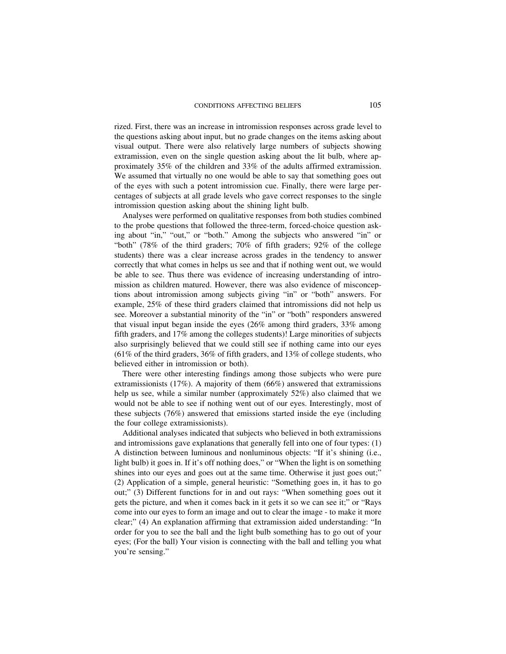rized. First, there was an increase in intromission responses across grade level to the questions asking about input, but no grade changes on the items asking about visual output. There were also relatively large numbers of subjects showing extramission, even on the single question asking about the lit bulb, where approximately 35% of the children and 33% of the adults affirmed extramission. We assumed that virtually no one would be able to say that something goes out of the eyes with such a potent intromission cue. Finally, there were large percentages of subjects at all grade levels who gave correct responses to the single intromission question asking about the shining light bulb.

Analyses were performed on qualitative responses from both studies combined to the probe questions that followed the three-term, forced-choice question asking about "in," "out," or "both." Among the subjects who answered "in" or "both" (78% of the third graders; 70% of fifth graders; 92% of the college students) there was a clear increase across grades in the tendency to answer correctly that what comes in helps us see and that if nothing went out, we would be able to see. Thus there was evidence of increasing understanding of intromission as children matured. However, there was also evidence of misconceptions about intromission among subjects giving "in" or "both" answers. For example, 25% of these third graders claimed that intromissions did not help us see. Moreover a substantial minority of the "in" or "both" responders answered that visual input began inside the eyes (26% among third graders, 33% among fifth graders, and 17% among the colleges students)! Large minorities of subjects also surprisingly believed that we could still see if nothing came into our eyes (61% of the third graders, 36% of fifth graders, and 13% of college students, who believed either in intromission or both).

There were other interesting findings among those subjects who were pure extramissionists (17%). A majority of them (66%) answered that extramissions help us see, while a similar number (approximately 52%) also claimed that we would not be able to see if nothing went out of our eyes. Interestingly, most of these subjects (76%) answered that emissions started inside the eye (including the four college extramissionists).

Additional analyses indicated that subjects who believed in both extramissions and intromissions gave explanations that generally fell into one of four types: (1) A distinction between luminous and nonluminous objects: "If it's shining (i.e., light bulb) it goes in. If it's off nothing does," or "When the light is on something shines into our eyes and goes out at the same time. Otherwise it just goes out;" (2) Application of a simple, general heuristic: "Something goes in, it has to go out;" (3) Different functions for in and out rays: "When something goes out it gets the picture, and when it comes back in it gets it so we can see it;" or "Rays come into our eyes to form an image and out to clear the image - to make it more clear;" (4) An explanation affirming that extramission aided understanding: "In order for you to see the ball and the light bulb something has to go out of your eyes; (For the ball) Your vision is connecting with the ball and telling you what you're sensing."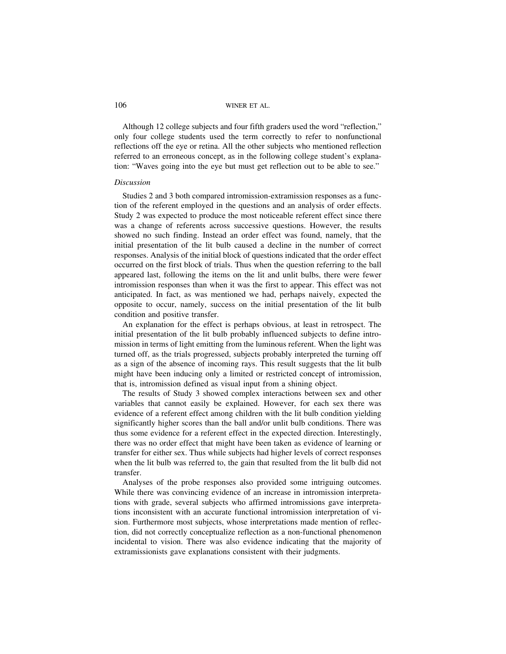Although 12 college subjects and four fifth graders used the word "reflection," only four college students used the term correctly to refer to nonfunctional reflections off the eye or retina. All the other subjects who mentioned reflection referred to an erroneous concept, as in the following college student's explanation: "Waves going into the eye but must get reflection out to be able to see."

#### *Discussion*

Studies 2 and 3 both compared intromission-extramission responses as a function of the referent employed in the questions and an analysis of order effects. Study 2 was expected to produce the most noticeable referent effect since there was a change of referents across successive questions. However, the results showed no such finding. Instead an order effect was found, namely, that the initial presentation of the lit bulb caused a decline in the number of correct responses. Analysis of the initial block of questions indicated that the order effect occurred on the first block of trials. Thus when the question referring to the ball appeared last, following the items on the lit and unlit bulbs, there were fewer intromission responses than when it was the first to appear. This effect was not anticipated. In fact, as was mentioned we had, perhaps naively, expected the opposite to occur, namely, success on the initial presentation of the lit bulb condition and positive transfer.

An explanation for the effect is perhaps obvious, at least in retrospect. The initial presentation of the lit bulb probably influenced subjects to define intromission in terms of light emitting from the luminous referent. When the light was turned off, as the trials progressed, subjects probably interpreted the turning off as a sign of the absence of incoming rays. This result suggests that the lit bulb might have been inducing only a limited or restricted concept of intromission, that is, intromission defined as visual input from a shining object.

The results of Study 3 showed complex interactions between sex and other variables that cannot easily be explained. However, for each sex there was evidence of a referent effect among children with the lit bulb condition yielding significantly higher scores than the ball and/or unlit bulb conditions. There was thus some evidence for a referent effect in the expected direction. Interestingly, there was no order effect that might have been taken as evidence of learning or transfer for either sex. Thus while subjects had higher levels of correct responses when the lit bulb was referred to, the gain that resulted from the lit bulb did not transfer.

Analyses of the probe responses also provided some intriguing outcomes. While there was convincing evidence of an increase in intromission interpretations with grade, several subjects who affirmed intromissions gave interpretations inconsistent with an accurate functional intromission interpretation of vision. Furthermore most subjects, whose interpretations made mention of reflection, did not correctly conceptualize reflection as a non-functional phenomenon incidental to vision. There was also evidence indicating that the majority of extramissionists gave explanations consistent with their judgments.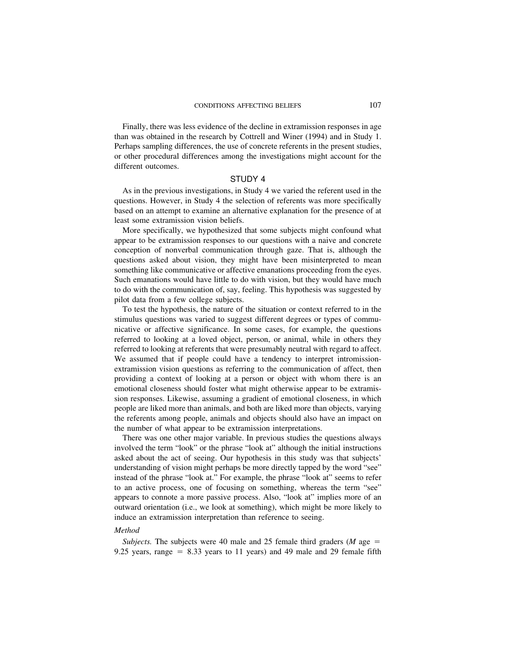Finally, there was less evidence of the decline in extramission responses in age than was obtained in the research by Cottrell and Winer (1994) and in Study 1. Perhaps sampling differences, the use of concrete referents in the present studies, or other procedural differences among the investigations might account for the different outcomes.

#### STUDY 4

As in the previous investigations, in Study 4 we varied the referent used in the questions. However, in Study 4 the selection of referents was more specifically based on an attempt to examine an alternative explanation for the presence of at least some extramission vision beliefs.

More specifically, we hypothesized that some subjects might confound what appear to be extramission responses to our questions with a naive and concrete conception of nonverbal communication through gaze. That is, although the questions asked about vision, they might have been misinterpreted to mean something like communicative or affective emanations proceeding from the eyes. Such emanations would have little to do with vision, but they would have much to do with the communication of, say, feeling. This hypothesis was suggested by pilot data from a few college subjects.

To test the hypothesis, the nature of the situation or context referred to in the stimulus questions was varied to suggest different degrees or types of communicative or affective significance. In some cases, for example, the questions referred to looking at a loved object, person, or animal, while in others they referred to looking at referents that were presumably neutral with regard to affect. We assumed that if people could have a tendency to interpret intromissionextramission vision questions as referring to the communication of affect, then providing a context of looking at a person or object with whom there is an emotional closeness should foster what might otherwise appear to be extramission responses. Likewise, assuming a gradient of emotional closeness, in which people are liked more than animals, and both are liked more than objects, varying the referents among people, animals and objects should also have an impact on the number of what appear to be extramission interpretations.

There was one other major variable. In previous studies the questions always involved the term "look" or the phrase "look at" although the initial instructions asked about the act of seeing. Our hypothesis in this study was that subjects' understanding of vision might perhaps be more directly tapped by the word "see" instead of the phrase "look at." For example, the phrase "look at" seems to refer to an active process, one of focusing on something, whereas the term "see" appears to connote a more passive process. Also, "look at" implies more of an outward orientation (i.e., we look at something), which might be more likely to induce an extramission interpretation than reference to seeing.

#### *Method*

*Subjects.* The subjects were 40 male and 25 female third graders (*M* age  $=$ 9.25 years, range  $= 8.33$  years to 11 years) and 49 male and 29 female fifth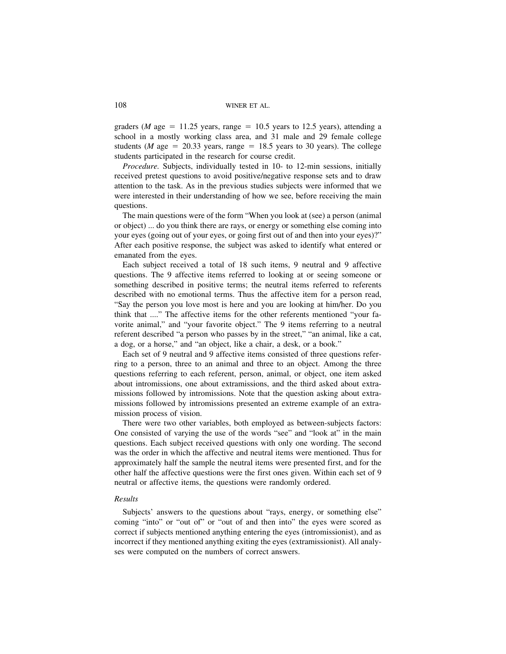graders (*M* age = 11.25 years, range = 10.5 years to 12.5 years), attending a school in a mostly working class area, and 31 male and 29 female college students (*M* age = 20.33 years, range = 18.5 years to 30 years). The college students participated in the research for course credit.

*Procedure.* Subjects, individually tested in 10- to 12-min sessions, initially received pretest questions to avoid positive/negative response sets and to draw attention to the task. As in the previous studies subjects were informed that we were interested in their understanding of how we see, before receiving the main questions.

The main questions were of the form "When you look at (see) a person (animal or object) ... do you think there are rays, or energy or something else coming into your eyes (going out of your eyes, or going first out of and then into your eyes)?" After each positive response, the subject was asked to identify what entered or emanated from the eyes.

Each subject received a total of 18 such items, 9 neutral and 9 affective questions. The 9 affective items referred to looking at or seeing someone or something described in positive terms; the neutral items referred to referents described with no emotional terms. Thus the affective item for a person read, "Say the person you love most is here and you are looking at him/her. Do you think that ...." The affective items for the other referents mentioned "your favorite animal," and "your favorite object." The 9 items referring to a neutral referent described "a person who passes by in the street," "an animal, like a cat, a dog, or a horse," and "an object, like a chair, a desk, or a book."

Each set of 9 neutral and 9 affective items consisted of three questions referring to a person, three to an animal and three to an object. Among the three questions referring to each referent, person, animal, or object, one item asked about intromissions, one about extramissions, and the third asked about extramissions followed by intromissions. Note that the question asking about extramissions followed by intromissions presented an extreme example of an extramission process of vision.

There were two other variables, both employed as between-subjects factors: One consisted of varying the use of the words "see" and "look at" in the main questions. Each subject received questions with only one wording. The second was the order in which the affective and neutral items were mentioned. Thus for approximately half the sample the neutral items were presented first, and for the other half the affective questions were the first ones given. Within each set of 9 neutral or affective items, the questions were randomly ordered.

### *Results*

Subjects' answers to the questions about "rays, energy, or something else" coming "into" or "out of" or "out of and then into" the eyes were scored as correct if subjects mentioned anything entering the eyes (intromissionist), and as incorrect if they mentioned anything exiting the eyes (extramissionist). All analyses were computed on the numbers of correct answers.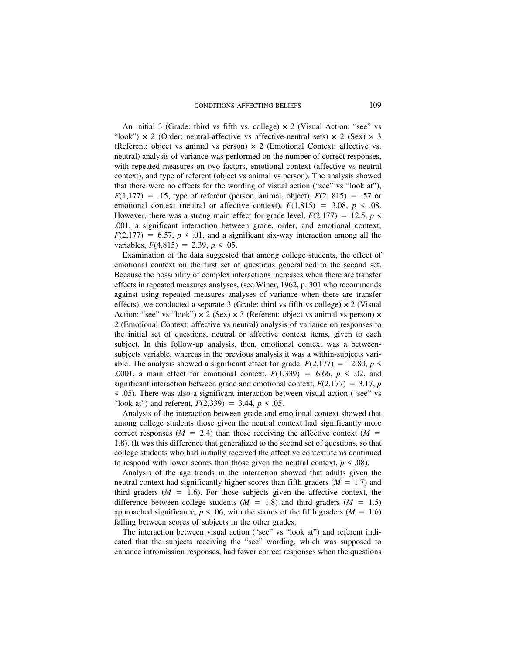An initial 3 (Grade: third vs fifth vs. college)  $\times$  2 (Visual Action: "see" vs "look")  $\times$  2 (Order: neutral-affective vs affective-neutral sets)  $\times$  2 (Sex)  $\times$  3 (Referent: object vs animal vs person)  $\times$  2 (Emotional Context: affective vs. neutral) analysis of variance was performed on the number of correct responses, with repeated measures on two factors, emotional context (affective vs neutral context), and type of referent (object vs animal vs person). The analysis showed that there were no effects for the wording of visual action ("see" vs "look at"),  $F(1,177) = .15$ , type of referent (person, animal, object),  $F(2, 815) = .57$  or emotional context (neutral or affective context),  $F(1,815) = 3.08$ ,  $p \le 0.08$ . However, there was a strong main effect for grade level,  $F(2,177) = 12.5$ ,  $p \le$ .001, a significant interaction between grade, order, and emotional context,  $F(2,177) = 6.57$ ,  $p \le 0.01$ , and a significant six-way interaction among all the variables,  $F(4,815) = 2.39, p \le .05$ .

Examination of the data suggested that among college students, the effect of emotional context on the first set of questions generalized to the second set. Because the possibility of complex interactions increases when there are transfer effects in repeated measures analyses, (see Winer, 1962, p. 301 who recommends against using repeated measures analyses of variance when there are transfer effects), we conducted a separate 3 (Grade: third vs fifth vs college)  $\times$  2 (Visual Action: "see" vs "look")  $\times$  2 (Sex)  $\times$  3 (Referent: object vs animal vs person)  $\times$ 2 (Emotional Context: affective vs neutral) analysis of variance on responses to the initial set of questions, neutral or affective context items, given to each subject. In this follow-up analysis, then, emotional context was a betweensubjects variable, whereas in the previous analysis it was a within-subjects variable. The analysis showed a significant effect for grade,  $F(2,177) = 12.80$ ,  $p \le$ .0001, a main effect for emotional context,  $F(1,339) = 6.66$ ,  $p \lt 0.02$ , and significant interaction between grade and emotional context,  $F(2,177) = 3.17$ , *p* < .05). There was also a significant interaction between visual action ("see" vs "look at") and referent,  $F(2,339) = 3.44$ ,  $p \le 0.05$ .

Analysis of the interaction between grade and emotional context showed that among college students those given the neutral context had significantly more correct responses ( $M = 2.4$ ) than those receiving the affective context ( $M =$ 1.8). (It was this difference that generalized to the second set of questions, so that college students who had initially received the affective context items continued to respond with lower scores than those given the neutral context,  $p \leq .08$ ).

Analysis of the age trends in the interaction showed that adults given the neutral context had significantly higher scores than fifth graders ( $M = 1.7$ ) and third graders ( $M = 1.6$ ). For those subjects given the affective context, the difference between college students ( $M = 1.8$ ) and third graders ( $M = 1.5$ ) approached significance,  $p \le 0.06$ , with the scores of the fifth graders ( $M = 1.6$ ) falling between scores of subjects in the other grades.

The interaction between visual action ("see" vs "look at") and referent indicated that the subjects receiving the "see" wording, which was supposed to enhance intromission responses, had fewer correct responses when the questions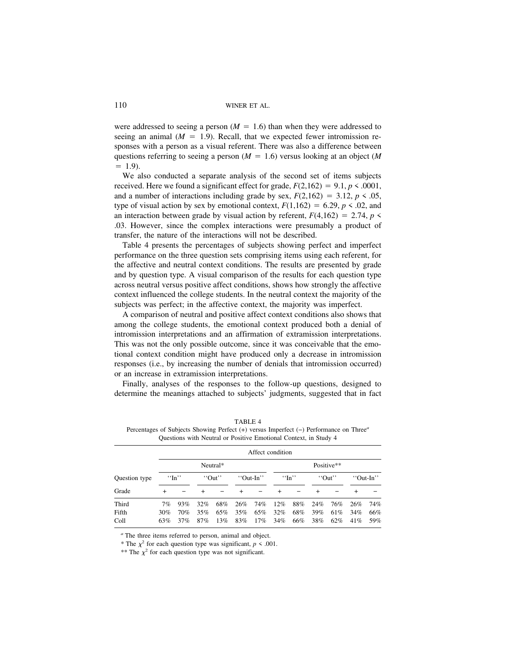were addressed to seeing a person  $(M = 1.6)$  than when they were addressed to seeing an animal  $(M = 1.9)$ . Recall, that we expected fewer intromission responses with a person as a visual referent. There was also a difference between questions referring to seeing a person ( $M = 1.6$ ) versus looking at an object (*M*  $= 1.9$ ).

We also conducted a separate analysis of the second set of items subjects received. Here we found a significant effect for grade,  $F(2,162) = 9.1$ ,  $p \le 0.0001$ , and a number of interactions including grade by sex,  $F(2,162) = 3.12$ ,  $p \le 0.05$ , type of visual action by sex by emotional context,  $F(1,162) = 6.29$ ,  $p \le 0.02$ , and an interaction between grade by visual action by referent,  $F(4,162) = 2.74$ ,  $p \le$ .03. However, since the complex interactions were presumably a product of transfer, the nature of the interactions will not be described.

Table 4 presents the percentages of subjects showing perfect and imperfect performance on the three question sets comprising items using each referent, for the affective and neutral context conditions. The results are presented by grade and by question type. A visual comparison of the results for each question type across neutral versus positive affect conditions, shows how strongly the affective context influenced the college students. In the neutral context the majority of the subjects was perfect; in the affective context, the majority was imperfect.

A comparison of neutral and positive affect context conditions also shows that among the college students, the emotional context produced both a denial of intromission interpretations and an affirmation of extramission interpretations. This was not the only possible outcome, since it was conceivable that the emotional context condition might have produced only a decrease in intromission responses (i.e., by increasing the number of denials that intromission occurred) or an increase in extramission interpretations.

Finally, analyses of the responses to the follow-up questions, designed to determine the meanings attached to subjects' judgments, suggested that in fact

|                        |               |          |     |       |           | Affect condition |            |              |     |       |           |          |  |
|------------------------|---------------|----------|-----|-------|-----------|------------------|------------|--------------|-----|-------|-----------|----------|--|
|                        |               | Neutral* |     |       |           |                  | Positive** |              |     |       |           |          |  |
| Question type<br>Grade | $\cdot$ 'In'' |          |     | "Out" |           | "Out-In"         |            | $\cdot$ Tn'' |     | "Out" |           | "Out-In" |  |
|                        | $\ddot{}$     |          |     |       | $\ddot{}$ |                  | $\,{}^+$   |              |     |       | $\ddot{}$ |          |  |
| Third                  | 7%            | 93%      | 32% | 68%   | 26%       | 74%              | 12%        | 88%          | 24% | 76%   | 26%       | 74%      |  |
| Fifth                  | 30%           | 70%      | 35% | 65%   | 35%       | 65%              | 32%        | 68%          | 39% | 61%   | 34%       | 66%      |  |
| Coll                   | 63%           | 37%      | 87% | 13%   | 83%       | 17%              | 34%        | 66%          | 38% | 62%   | 41%       | 59%      |  |

TABLE 4 Percentages of Subjects Showing Perfect (+) versus Imperfect (−) Performance on Three*<sup>a</sup>* Questions with Neutral or Positive Emotional Context, in Study 4

*<sup>a</sup>* The three items referred to person, animal and object.

\* The  $\chi^2$  for each question type was significant,  $p \le 0.001$ .

\*\* The  $\chi^2$  for each question type was not significant.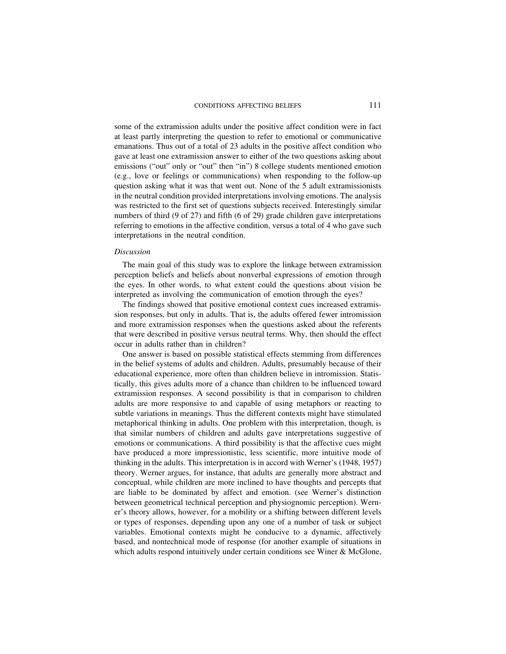some of the extramission adults under the positive affect condition were in fact at least partly interpreting the question to refer to emotional or communicative emanations. Thus out of a total of 23 adults in the positive affect condition who gave at least one extramission answer to either of the two questions asking about emissions ("out" only or "out" then "in") 8 college students mentioned emotion (e.g., love or feelings or communications) when responding to the follow-up question asking what it was that went out. None of the 5 adult extramissionists in the neutral condition provided interpretations involving emotions. The analysis was restricted to the first set of questions subjects received. Interestingly similar numbers of third (9 of 27) and fifth (6 of 29) grade children gave interpretations referring to emotions in the affective condition, versus a total of 4 who gave such interpretations in the neutral condition.

### *Discussion*

The main goal of this study was to explore the linkage between extramission perception beliefs and beliefs about nonverbal expressions of emotion through the eyes. In other words, to what extent could the questions about vision be interpreted as involving the communication of emotion through the eyes?

The findings showed that positive emotional context cues increased extramission responses, but only in adults. That is, the adults offered fewer intromission and more extramission responses when the questions asked about the referents that were described in positive versus neutral terms. Why, then should the effect occur in adults rather than in children?

One answer is based on possible statistical effects stemming from differences in the belief systems of adults and children. Adults, presumably because of their educational experience, more often than children believe in intromission. Statistically, this gives adults more of a chance than children to be influenced toward extramission responses. A second possibility is that in comparison to children adults are more responsive to and capable of using metaphors or reacting to subtle variations in meanings. Thus the different contexts might have stimulated metaphorical thinking in adults. One problem with this interpretation, though, is that similar numbers of children and adults gave interpretations suggestive of emotions or communications. A third possibility is that the affective cues might have produced a more impressionistic, less scientific, more intuitive mode of thinking in the adults. This interpretation is in accord with Werner's (1948, 1957) theory. Werner argues, for instance, that adults are generally more abstract and conceptual, while children are more inclined to have thoughts and percepts that are liable to be dominated by affect and emotion. (see Werner's distinction between geometrical technical perception and physiognomic perception). Werner's theory allows, however, for a mobility or a shifting between different levels or types of responses, depending upon any one of a number of task or subject variables. Emotional contexts might be conducive to a dynamic, affectively based, and nontechnical mode of response (for another example of situations in which adults respond intuitively under certain conditions see Winer & McGlone,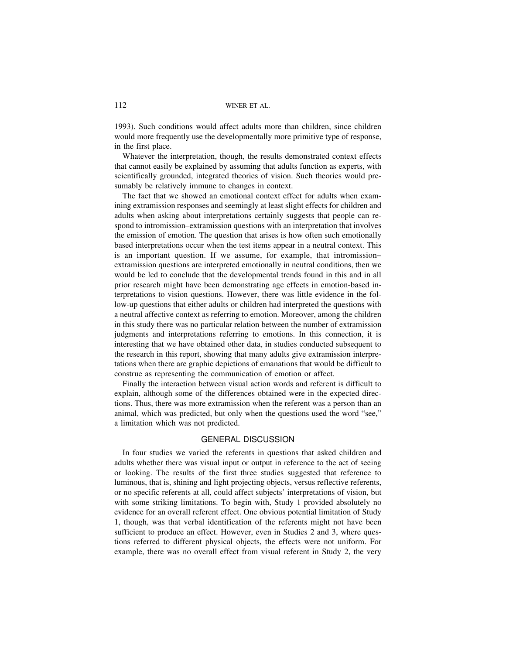1993). Such conditions would affect adults more than children, since children would more frequently use the developmentally more primitive type of response, in the first place.

Whatever the interpretation, though, the results demonstrated context effects that cannot easily be explained by assuming that adults function as experts, with scientifically grounded, integrated theories of vision. Such theories would presumably be relatively immune to changes in context.

The fact that we showed an emotional context effect for adults when examining extramission responses and seemingly at least slight effects for children and adults when asking about interpretations certainly suggests that people can respond to intromission–extramission questions with an interpretation that involves the emission of emotion. The question that arises is how often such emotionally based interpretations occur when the test items appear in a neutral context. This is an important question. If we assume, for example, that intromission– extramission questions are interpreted emotionally in neutral conditions, then we would be led to conclude that the developmental trends found in this and in all prior research might have been demonstrating age effects in emotion-based interpretations to vision questions. However, there was little evidence in the follow-up questions that either adults or children had interpreted the questions with a neutral affective context as referring to emotion. Moreover, among the children in this study there was no particular relation between the number of extramission judgments and interpretations referring to emotions. In this connection, it is interesting that we have obtained other data, in studies conducted subsequent to the research in this report, showing that many adults give extramission interpretations when there are graphic depictions of emanations that would be difficult to construe as representing the communication of emotion or affect.

Finally the interaction between visual action words and referent is difficult to explain, although some of the differences obtained were in the expected directions. Thus, there was more extramission when the referent was a person than an animal, which was predicted, but only when the questions used the word "see," a limitation which was not predicted.

## GENERAL DISCUSSION

In four studies we varied the referents in questions that asked children and adults whether there was visual input or output in reference to the act of seeing or looking. The results of the first three studies suggested that reference to luminous, that is, shining and light projecting objects, versus reflective referents, or no specific referents at all, could affect subjects' interpretations of vision, but with some striking limitations. To begin with, Study 1 provided absolutely no evidence for an overall referent effect. One obvious potential limitation of Study 1, though, was that verbal identification of the referents might not have been sufficient to produce an effect. However, even in Studies 2 and 3, where questions referred to different physical objects, the effects were not uniform. For example, there was no overall effect from visual referent in Study 2, the very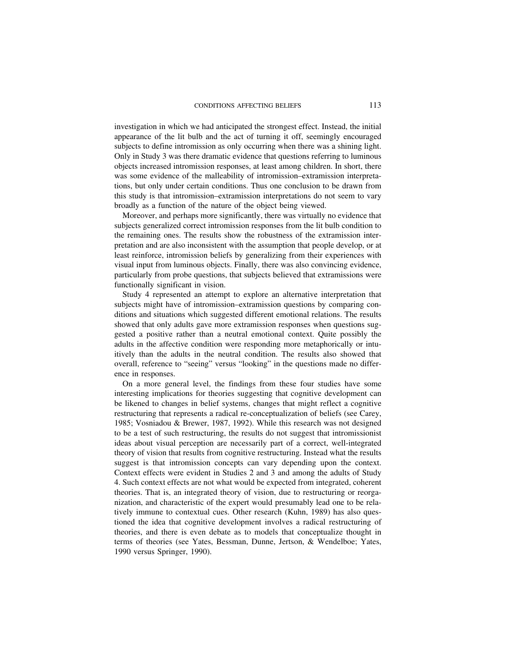investigation in which we had anticipated the strongest effect. Instead, the initial appearance of the lit bulb and the act of turning it off, seemingly encouraged subjects to define intromission as only occurring when there was a shining light. Only in Study 3 was there dramatic evidence that questions referring to luminous objects increased intromission responses, at least among children. In short, there was some evidence of the malleability of intromission–extramission interpretations, but only under certain conditions. Thus one conclusion to be drawn from this study is that intromission–extramission interpretations do not seem to vary broadly as a function of the nature of the object being viewed.

Moreover, and perhaps more significantly, there was virtually no evidence that subjects generalized correct intromission responses from the lit bulb condition to the remaining ones. The results show the robustness of the extramission interpretation and are also inconsistent with the assumption that people develop, or at least reinforce, intromission beliefs by generalizing from their experiences with visual input from luminous objects. Finally, there was also convincing evidence, particularly from probe questions, that subjects believed that extramissions were functionally significant in vision.

Study 4 represented an attempt to explore an alternative interpretation that subjects might have of intromission–extramission questions by comparing conditions and situations which suggested different emotional relations. The results showed that only adults gave more extramission responses when questions suggested a positive rather than a neutral emotional context. Quite possibly the adults in the affective condition were responding more metaphorically or intuitively than the adults in the neutral condition. The results also showed that overall, reference to "seeing" versus "looking" in the questions made no difference in responses.

On a more general level, the findings from these four studies have some interesting implications for theories suggesting that cognitive development can be likened to changes in belief systems, changes that might reflect a cognitive restructuring that represents a radical re-conceptualization of beliefs (see Carey, 1985; Vosniadou & Brewer, 1987, 1992). While this research was not designed to be a test of such restructuring, the results do not suggest that intromissionist ideas about visual perception are necessarily part of a correct, well-integrated theory of vision that results from cognitive restructuring. Instead what the results suggest is that intromission concepts can vary depending upon the context. Context effects were evident in Studies 2 and 3 and among the adults of Study 4. Such context effects are not what would be expected from integrated, coherent theories. That is, an integrated theory of vision, due to restructuring or reorganization, and characteristic of the expert would presumably lead one to be relatively immune to contextual cues. Other research (Kuhn, 1989) has also questioned the idea that cognitive development involves a radical restructuring of theories, and there is even debate as to models that conceptualize thought in terms of theories (see Yates, Bessman, Dunne, Jertson, & Wendelboe; Yates, 1990 versus Springer, 1990).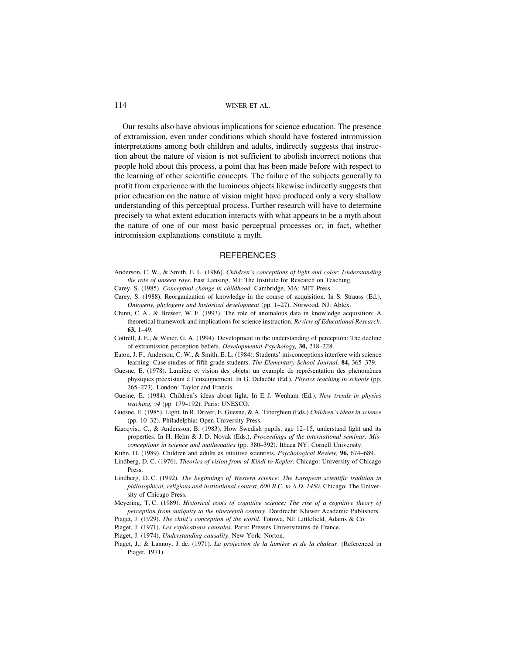Our results also have obvious implications for science education. The presence of extramission, even under conditions which should have fostered intromission interpretations among both children and adults, indirectly suggests that instruction about the nature of vision is not sufficient to abolish incorrect notions that people hold about this process, a point that has been made before with respect to the learning of other scientific concepts. The failure of the subjects generally to profit from experience with the luminous objects likewise indirectly suggests that prior education on the nature of vision might have produced only a very shallow understanding of this perceptual process. Further research will have to determine precisely to what extent education interacts with what appears to be a myth about the nature of one of our most basic perceptual processes or, in fact, whether intromission explanations constitute a myth.

#### **REFERENCES**

- Anderson, C. W., & Smith, E. L. (1986). *Children's conceptions of light and color: Understanding the role of unseen rays*. East Lansing, MI: The Institute for Research on Teaching.
- Carey, S. (1985). *Conceptual change in childhood*. Cambridge, MA: MIT Press.
- Carey, S. (1988). Reorganization of knowledge in the course of acquisition. In S. Strauss (Ed.), *Ontogeny, phylogeny and historical development* (pp. 1–27). Norwood, NJ: Ablex.
- Chinn, C. A., & Brewer, W. F. (1993). The role of anomalous data in knowledge acquisition: A theoretical framework and implications for science instruction. *Review of Educational Research,* **63,** 1–49.
- Cottrell, J. E., & Winer, G. A. (1994). Development in the understanding of perception: The decline of extramission perception beliefs. *Developmental Psychology,* **30,** 218–228.
- Eaton, J. F., Anderson, C. W., & Smith, E. L. (1984). Students' misconceptions interfere with science learning: Case studies of fifth-grade students. *The Elementary School Journal,* **84,** 365–379.
- Guesne, E. (1978). Lumière et vision des objets: un example de représentation des phénomènes physiques préexistant à l'enseignement. In G. Delacôte (Ed.), *Physics teaching in schools* (pp. 265–273). London: Taylor and Francis.
- Guesne, E. (1984). Children's ideas about light. In E. J. Wenham (Ed.), *New trends in physics teaching, v4* (pp. 179–192). Paris: UNESCO.
- Guesne, E. (1985). Light. In R. Driver, E. Guesne, & A. Tiberghien (Eds.) *Children's ideas in science* (pp. 10–32). Philadelphia: Open University Press.
- Kärrqvist, C., & Andersson, B. (1983). How Swedish pupils, age 12–15, understand light and its properties. In H. Helm & J. D. Novak (Eds.), *Proceedings of the international seminar: Misconceptions in science and mathematics* (pp. 380–392). Ithaca NY: Cornell University.
- Kuhn, D. (1989). Children and adults as intuitive scientists. *Psychological Review,* **96,** 674–689.
- Lindberg, D. C. (1976). *Theories of vision from al-Kindi to Kepler*. Chicago: University of Chicago Press.
- Lindberg, D. C. (1992). *The beginnings of Western science: The European scientific tradition in philosophical, religious and institutional context, 600 B.C. to A.D. 1450*. Chicago: The University of Chicago Press.
- Meyering, T. C. (1989). *Historical roots of cognitive science: The rise of a cognitive theory of perception from antiquity to the nineteenth century*. Dordrecht: Kluwer Academic Publishers.
- Piaget, J. (1929). *The child's conception of the world*. Totowa, NJ: Littlefield, Adams & Co.
- Piaget, J. (1971). *Les explications causales*. Paris: Presses Universitaires de France.
- Piaget, J. (1974). *Understanding causality*. New York: Norton.
- Piaget, J., & Lannoy, J. de. (1971). *La projection de la lumière et de la chaleur*. (Referenced in Piaget, 1971).